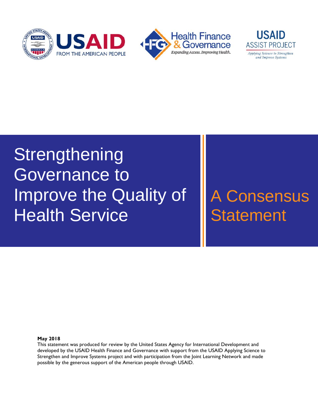



# Improve the Quality of **Strengthening** Governance to **Health Service**

## A Consensus **Statement**

#### **May 2018**

This statement was produced for review by the United States Agency for International Development and developed by the USAID Health Finance and Governance with support from the USAID Applying Science to Strengthen and Improve Systems project and with participation from the Joint Learning Network and made possible by the generous support of the American people through USAID.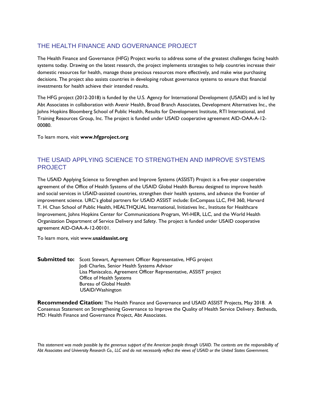#### THE HEALTH FINANCE AND GOVERNANCE PROJECT

The Health Finance and Governance (HFG) Project works to address some of the greatest challenges facing health systems today. Drawing on the latest research, the project implements strategies to help countries increase their domestic resources for health, manage those precious resources more effectively, and make wise purchasing decisions. The project also assists countries in developing robust governance systems to ensure that financial investments for health achieve their intended results.

The HFG project (2012-2018) is funded by the U.S. Agency for International Development (USAID) and is led by Abt Associates in collaboration with Avenir Health, Broad Branch Associates, Development Alternatives Inc., the Johns Hopkins Bloomberg School of Public Health, Results for Development Institute, RTI International, and Training Resources Group, Inc. The project is funded under USAID cooperative agreement AID-OAA-A-12- 00080.

To learn more, visit **www.hfgproject.org**

#### THE USAID APPLYING SCIENCE TO STRENGTHEN AND IMPROVE SYSTEMS PROJECT

The USAID Applying Science to Strengthen and Improve Systems (ASSIST) Project is a five-year cooperative agreement of the Office of Health Systems of the USAID Global Health Bureau designed to improve health and social services in USAID-assisted countries, strengthen their health systems, and advance the frontier of improvement science. URC's global partners for USAID ASSIST include: EnCompass LLC, FHI 360, Harvard T. H. Chan School of Public Health, HEALTHQUAL International, Initiatives Inc., Institute for Healthcare Improvement, Johns Hopkins Center for Communications Program, WI-HER, LLC, and the World Health Organization Department of Service Delivery and Safety. The project is funded under USAID cooperative agreement AID-OAA-A-12-00101.

To learn more, visit www.**usaidassist.org**

**Submitted to:** Scott Stewart, Agreement Officer Representative, HFG project Jodi Charles, Senior Health Systems Advisor Lisa Maniscalco, Agreement Officer Representative, ASSIST project Office of Health Systems Bureau of Global Health USAID/Washington

**Recommended Citation:** The Health Finance and Governance and USAID ASSIST Projects, May 2018. A Consensus Statement on Strengthening Governance to Improve the Quality of Health Service Delivery. Bethesda, MD: Health Finance and Governance Project, Abt Associates.

*This statement was made possible by the generous support of the American people through USAID. The contents are the responsibility of Abt Associates and University Research Co., LLC and do not necessarily reflect the views of USAID or the United States Government.*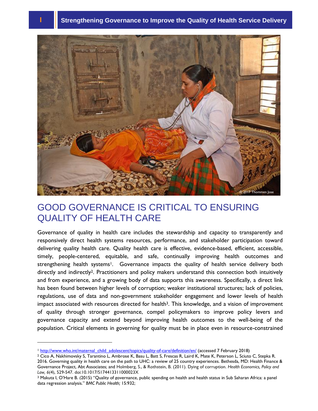## **1** Strengthening Governance to Improve the Quality of Health Service Delivery



#### GOOD GOVERNANCE IS CRITICAL TO ENSURING QUALITY OF HEALTH CARE

Governance of quality in health care includes the stewardship and capacity to transparently and responsively direct health systems resources, performance, and stakeholder participation toward delivering quality health care. Quality health care is effective, evidence-based, efficient, accessible, timely, people-centered, equitable, and safe, continually improving health outcomes and strengthening health systems<sup>1</sup>. Governance impacts the quality of health service delivery both directly and indirectly<sup>2</sup>. Practitioners and policy makers understand this connection both intuitively and from experience, and a growing body of data supports this awareness. Specifically, a direct link has been found between higher levels of corruption; weaker institutional structures; lack of policies, regulations, use of data and non-government stakeholder engagement and lower levels of health impact associated with resources directed for health<sup>3</sup>. This knowledge, and a vision of improvement of quality through stronger governance, compel policymakers to improve policy levers and governance capacity and extend beyond improving health outcomes to the well-being of the population. Critical elements in governing for quality must be in place even in resource-constrained

l

<sup>1</sup> [http://www.who.int/maternal\\_child\\_adolescent/topics/quality-of-care/definition/en/](http://www.who.int/maternal_child_adolescent/topics/quality-of-care/definition/en/) (accessed 7 February 2018)

<sup>2</sup> Cico A, Nakhimovsky S, Tarantino L, Ambrose K, Basu L, Batt S, Frescas R, Laird K, Mate K, Peterson L, Sciuto C, Stepka R. 2016. Governing quality in health care on the path to UHC: a review of 25 country experiences. Bethesda, MD: Health Finance & Governance Project, Abt Associates; and Holmberg, S., & Rothstein, B. (2011). Dying of corruption. *Health Economics, Policy and Law, 6*(4), 529-547. doi:10.1017/S174413311000023X

<sup>3</sup> Makuta I, O'Hare B. (2015) "Quality of governance, public spending on health and health status in Sub Saharan Africa: a panel data regression analysis." *BMC Public Health;* 15:932;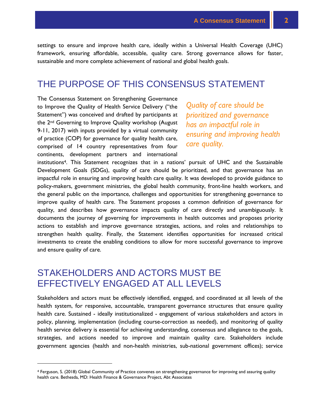settings to ensure and improve health care, ideally within a Universal Health Coverage (UHC) framework, ensuring affordable, accessible, quality care. Strong governance allows for faster, sustainable and more complete achievement of national and global health goals.

#### THE PURPOSE OF THIS CONSENSUS STATEMENT

The Consensus Statement on Strengthening Governance to Improve the Quality of Health Service Delivery ("the Statement") was conceived and drafted by participants at the 2nd Governing to Improve Quality workshop (August 9-11, 2017) with inputs provided by a virtual community of practice (COP) for governance for quality health care, comprised of 14 country representatives from four continents, development partners and international

*Quality of care should be prioritized and governance has an impactful role in ensuring and improving health care quality.*

institutions4. This Statement recognizes that in a nations' pursuit of UHC and the Sustainable Development Goals (SDGs), quality of care should be prioritized, and that governance has an impactful role in ensuring and improving health care quality. It was developed to provide guidance to policy-makers, government ministries, the global health community, front-line health workers, and the general public on the importance, challenges and opportunities for strengthening governance to improve quality of health care. The Statement proposes a common definition of governance for quality, and describes how governance impacts quality of care directly and unambiguously. It documents the journey of governing for improvements in health outcomes and proposes priority actions to establish and improve governance strategies, actions, and roles and relationships to strengthen health quality. Finally, the Statement identifies opportunities for increased critical investments to create the enabling conditions to allow for more successful governance to improve and ensure quality of care.

#### STAKEHOLDERS AND ACTORS MUST BE EFFECTIVELY ENGAGED AT ALL LEVELS

l

Stakeholders and actors must be effectively identified, engaged, and coordinated at all levels of the health system, for responsive, accountable, transparent governance structures that ensure quality health care. Sustained - ideally institutionalized - engagement of various stakeholders and actors in policy, planning, implementation (including course-correction as needed), and monitoring of quality health service delivery is essential for achieving understanding, consensus and allegiance to the goals, strategies, and actions needed to improve and maintain quality care. Stakeholders include government agencies (health and non-health ministries, sub-national government offices); service

<sup>4</sup> Ferguson, S. (2018) Global Community of Practice convenes on strengthening governance for improving and assuring quality health care. Bethesda, MD: Health Finance & Governance Project, Abt Associates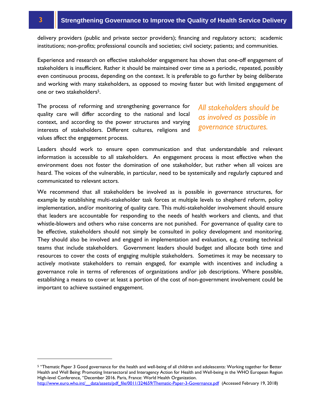n-profits; professional councils and societies; civil s delivery providers (public and private sector providers); financing and regulatory actors; academic institutions; non-profits; professional councils and societies; civil society; patients; and communities.

Experience and research on effective stakeholder engagement has shown that one-off engagement of stakeholders is insufficient. Rather it should be maintained over time as a periodic, repeated, possibly even continuous process, depending on the context. It is preferable to go further by being deliberate and working with many stakeholders, as opposed to moving faster but with limited engagement of one or two stakeholders5.

The process of reforming and strengthening governance for quality care will differ according to the national and local context, and according to the power structures and varying interests of stakeholders. Different cultures, religions and values affect the engagement process.

#### *All stakeholders should be as involved as possible in governance structures.*

Leaders should work to ensure open communication and that understandable and relevant information is accessible to all stakeholders. An engagement process is most effective when the environment does not foster the domination of one stakeholder, but rather when all voices are heard. The voices of the vulnerable, in particular, need to be systemically and regularly captured and communicated to relevant actors.

We recommend that all stakeholders be involved as is possible in governance structures, for example by establishing multi-stakeholder task forces at multiple levels to shepherd reform, policy implementation, and/or monitoring of quality care. This multi-stakeholder involvement should ensure that leaders are accountable for responding to the needs of health workers and clients, and that whistle-blowers and others who raise concerns are not punished. For governance of quality care to be effective, stakeholders should not simply be consulted in policy development and monitoring. They should also be involved and engaged in implementation and evaluation, e.g. creating technical teams that include stakeholders. Government leaders should budget and allocate both time and resources to cover the costs of engaging multiple stakeholders. Sometimes it may be necessary to actively motivate stakeholders to remain engaged, for example with incentives and including a governance role in terms of references of organizations and/or job descriptions. Where possible, establishing a means to cover at least a portion of the cost of non-government involvement could be important to achieve sustained engagement.

l

<sup>5</sup> "Thematic Paper 3 Good governance for the health and well-being of all children and adolescents: Working together for Better Health and Well Being: Promoting Intersectoral and Interagency Action for Health and Well-being in the WHO European Region High-level Conference, "December 2016. Paris, France: World Health Organization.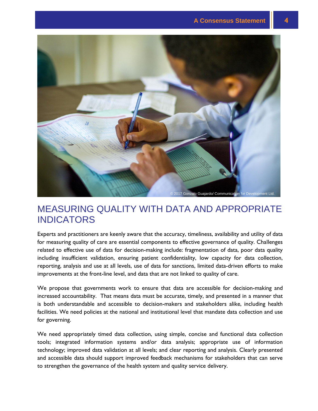![](_page_7_Picture_1.jpeg)

#### MEASURING QUALITY WITH DATA AND APPROPRIATE INDICATORS

Experts and practitioners are keenly aware that the accuracy, timeliness, availability and utility of data for measuring quality of care are essential components to effective governance of quality. Challenges related to effective use of data for decision-making include: fragmentation of data, poor data quality including insufficient validation, ensuring patient confidentiality, low capacity for data collection, reporting, analysis and use at all levels, use of data for sanctions, limited data-driven efforts to make improvements at the front-line level, and data that are not linked to quality of care.

We propose that governments work to ensure that data are accessible for decision-making and increased accountability. That means data must be accurate, timely, and presented in a manner that is both understandable and accessible to decision-makers and stakeholders alike, including health facilities. We need policies at the national and institutional level that mandate data collection and use for governing.

We need appropriately timed data collection, using simple, concise and functional data collection tools; integrated information systems and/or data analysis; appropriate use of information technology; improved data validation at all levels; and clear reporting and analysis. Clearly presented and accessible data should support improved feedback mechanisms for stakeholders that can serve to strengthen the governance of the health system and quality service delivery.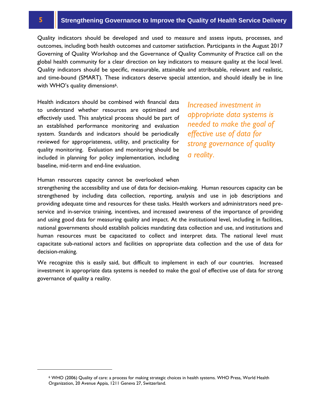Quality indicators should be developed and used to measure and assess inputs, processes, and<br>outcomes, including both health outcomes and customer satisfaction. Participants in the August 2017<br>Governing of Quality Workshop Quality indicators should be developed and used to measure and assess inputs, processes, and outcomes, including both health outcomes and customer satisfaction. Participants in the August 2017 global health community for a clear direction on key indicators to measure quality at the local level. Quality indicators should be specific, measurable, attainable and attributable, relevant and realistic, and time-bound (SMART). These indicators deserve special attention, and should ideally be in line with WHO's quality dimensions<sup>6</sup>.

Health indicators should be combined with financial data to understand whether resources are optimized and effectively used. This analytical process should be part of an established performance monitoring and evaluation system. Standards and indicators should be periodically reviewed for appropriateness, utility, and practicality for quality monitoring. Evaluation and monitoring should be included in planning for policy implementation, including baseline, mid-term and end-line evaluation.

*Increased investment in appropriate data systems is needed to make the goal of effective use of data for strong governance of quality a reality*.

Human resources capacity cannot be overlooked when

strengthening the accessibility and use of data for decision-making. Human resources capacity can be strengthened by including data collection, reporting, analysis and use in job descriptions and providing adequate time and resources for these tasks. Health workers and administrators need preservice and in-service training, incentives, and increased awareness of the importance of providing and using good data for measuring quality and impact. At the institutional level, including in facilities, national governments should establish policies mandating data collection and use, and institutions and human resources must be capacitated to collect and interpret data. The national level must capacitate sub-national actors and facilities on appropriate data collection and the use of data for decision-making.

We recognize this is easily said, but difficult to implement in each of our countries. Increased investment in appropriate data systems is needed to make the goal of effective use of data for strong governance of quality a reality.

l

<sup>6</sup> WHO (2006) Quality of care: a process for making strategic choices in health systems. WHO Press, World Health Organization, 20 Avenue Appia, 1211 Geneva 27, Switzerland.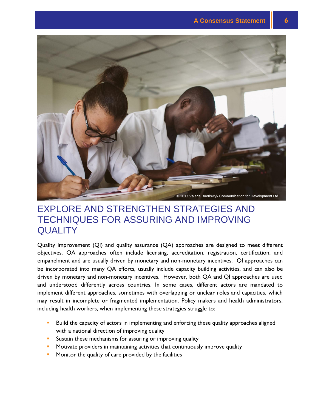![](_page_9_Picture_1.jpeg)

#### EXPLORE AND STRENGTHEN STRATEGIES AND TECHNIQUES FOR ASSURING AND IMPROVING **QUALITY**

Quality improvement (QI) and quality assurance (QA) approaches are designed to meet different objectives. QA approaches often include licensing, accreditation, registration, certification, and empanelment and are usually driven by monetary and non-monetary incentives. QI approaches can be incorporated into many QA efforts, usually include capacity building activities, and can also be driven by monetary and non-monetary incentives. However, both QA and QI approaches are used and understood differently across countries. In some cases, different actors are mandated to implement different approaches, sometimes with overlapping or unclear roles and capacities, which may result in incomplete or fragmented implementation. Policy makers and health administrators, including health workers, when implementing these strategies struggle to:

- Build the capacity of actors in implementing and enforcing these quality approaches aligned with a national direction of improving quality
- **Sustain these mechanisms for assuring or improving quality**
- Motivate providers in maintaining activities that continuously improve quality
- **Monitor the quality of care provided by the facilities**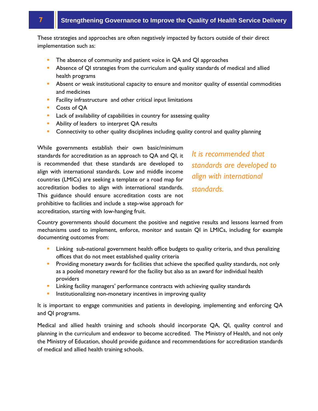:s *c*<br>) รเ These strategies and approaches are often negatively impacted by factors outside of their direct<br>implementation such as: implementation such as:

- The absence of community and patient voice in QA and QI approaches
- **Absence of QI strategies from the curriculum and quality standards of medical and allied** health programs
- **Absent or weak institutional capacity to ensure and monitor quality of essential commodities** and medicines
- **Facility infrastructure and other critical input limitations**
- Costs of QA
- **Lack of availability of capabilities in country for assessing quality**
- **Ability of leaders to interpret QA results**
- **Connectivity to other quality disciplines including quality control and quality planning**

While governments establish their own basic/minimum standards for accreditation as an approach to QA and QI, it is recommended that these standards are developed to align with international standards. Low and middle income countries (LMICs) are seeking a template or a road map for accreditation bodies to align with international standards. This guidance should ensure accreditation costs are not prohibitive to facilities and include a step-wise approach for accreditation, starting with low-hanging fruit.

*It is recommended that standards are developed to align with international standards.*

Country governments should document the positive and negative results and lessons learned from mechanisms used to implement, enforce, monitor and sustain QI in LMICs, including for example documenting outcomes from:

- **EXT** Linking sub-national government health office budgets to quality criteria, and thus penalizing offices that do not meet established quality criteria
- **Providing monetary awards for facilities that achieve the specified quality standards, not only** as a pooled monetary reward for the facility but also as an award for individual health providers
- **EXTED** Linking facility managers' performance contracts with achieving quality standards
- **Institutionalizing non-monetary incentives in improving quality**

It is important to engage communities and patients in developing, implementing and enforcing QA and QI programs.

Medical and allied health training and schools should incorporate QA, QI, quality control and planning in the curriculum and endeavor to become accredited. The Ministry of Health, and not only the Ministry of Education, should provide guidance and recommendations for accreditation standards of medical and allied health training schools.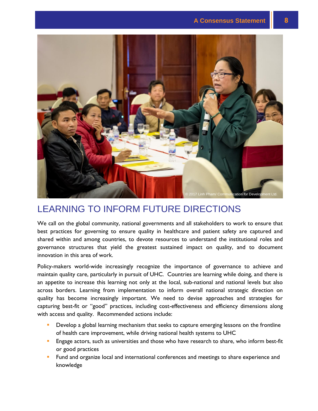![](_page_11_Picture_1.jpeg)

### LEARNING TO INFORM FUTURE DIRECTIONS

We call on the global community, national governments and all stakeholders to work to ensure that best practices for governing to ensure quality in healthcare and patient safety are captured and shared within and among countries, to devote resources to understand the institutional roles and governance structures that yield the greatest sustained impact on quality, and to document innovation in this area of work.

Policy-makers world-wide increasingly recognize the importance of governance to achieve and maintain quality care, particularly in pursuit of UHC. Countries are learning while doing, and there is an appetite to increase this learning not only at the local, sub-national and national levels but also across borders. Learning from implementation to inform overall national strategic direction on quality has become increasingly important. We need to devise approaches and strategies for capturing best-fit or "good" practices, including cost-effectiveness and efficiency dimensions along with access and quality. Recommended actions include:

- Develop a global learning mechanism that seeks to capture emerging lessons on the frontline of health care improvement, while driving national health systems to UHC
- Engage actors, such as universities and those who have research to share, who inform best-fit or good practices
- Fund and organize local and international conferences and meetings to share experience and knowledge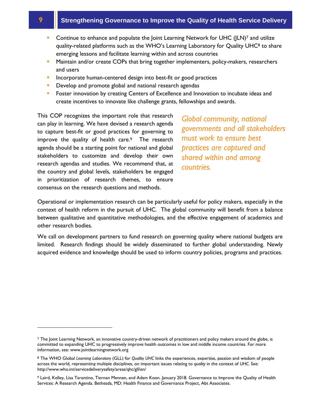l

- related platforms such as the WHO's Learning Net<br>related platforms such as the WHO's Learning Lab<br>ng lessons and facilitate learning within and across **Continue to enhance and populate the Joint Learning Network for UHC (JLN)<sup>7</sup> and utilize** quality-related platforms such as the WHO's Learning Laboratory for Quality UHC<sup>8</sup> to share emerging lessons and facilitate learning within and across countries
- Maintain and/or create COPs that bring together implementers, policy-makers, researchers and users
- Incorporate human-centered design into best-fit or good practices
- **Develop and promote global and national research agendas**
- **Foster innovation by creating Centers of Excellence and Innovation to incubate ideas and** create incentives to innovate like challenge grants, fellowships and awards.

This COP recognizes the important role that research can play in learning. We have devised a research agenda to capture best-fit or good practices for governing to improve the quality of health care.<sup>9</sup> The research agenda should be a starting point for national and global stakeholders to customize and develop their own research agendas and studies. We recommend that, at the country and global levels, stakeholders be engaged in prioritization of research themes, to ensure consensus on the research questions and methods.

*Global community, national governments and all stakeholders must work to ensure best practices are captured and shared within and among countries.*

Operational or implementation research can be particularly useful for policy makers, especially in the context of health reform in the pursuit of UHC. The global community will benefit from a balance between qualitative and quantitative methodologies, and the effective engagement of academics and other research bodies.

We call on development partners to fund research on governing quality where national budgets are limited. Research findings should be widely disseminated to further global understanding. Newly acquired evidence and knowledge should be used to inform country policies, programs and practices.

<sup>7</sup> The Joint Learning Network, an innovative country-driven network of practitioners and policy makers around the globe, is committed to expanding UHC to progressively improve health outcomes in low and middle income countries. For more information, see: www.jointlearningnetwork.org

<sup>8</sup> The WHO Global *Learning Laboratory* (GLL) for *Quality UHC* links the experiences, expertise, passion and wisdom of people across the world, representing multiple disciplines, on important issues relating to *quality* in the context of *UHC*. See: http://www.who.int/servicedeliverysafety/areas/qhc/gll/en/

<sup>9</sup> Laird, Kelley, Lisa Tarantino, Tiernan Mennen, and Adam Koon. January 2018. Governance to Improve the Quality of Health Services: A Research Agenda. Bethesda, MD: Health Finance and Governance Project, Abt Associates.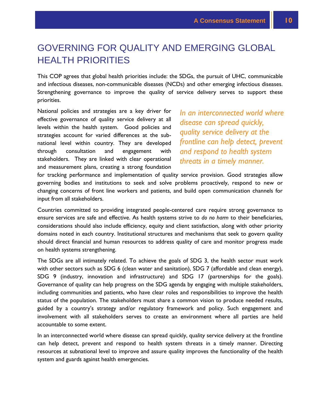### GOVERNING FOR QUALITY AND EMERGING GLOBAL HEALTH PRIORITIES

This COP agrees that global health priorities include: the SDGs, the pursuit of UHC, communicable and infectious diseases, non-communicable diseases (NCDs) and other emerging infectious diseases. Strengthening governance to improve the quality of service delivery serves to support these priorities.

National policies and strategies are a key driver for effective governance of quality service delivery at all levels within the health system. Good policies and strategies account for varied differences at the subnational level within country. They are developed through consultation and engagement with stakeholders. They are linked with clear operational and measurement plans, creating a strong foundation

*In an interconnected world where disease can spread quickly, quality service delivery at the frontline can help detect, prevent and respond to health system threats in a timely manner.*

for tracking performance and implementation of quality service provision. Good strategies allow governing bodies and institutions to seek and solve problems proactively, respond to new or changing concerns of front line workers and patients, and build open communication channels for input from all stakeholders.

Countries committed to providing integrated people-centered care require strong governance to ensure services are safe and effective. As health systems strive to *do no harm* to their beneficiaries, considerations should also include efficiency, equity and client satisfaction, along with other priority domains noted in each country. Institutional structures and mechanisms that seek to govern quality should direct financial and human resources to address quality of care and monitor progress made on health systems strengthening.

The SDGs are all intimately related. To achieve the goals of SDG 3, the health sector must work with other sectors such as SDG 6 (clean water and sanitation), SDG 7 (affordable and clean energy), SDG 9 (industry, innovation and infrastructure) and SDG 17 (partnerships for the goals). Governance of quality can help progress on the SDG agenda by engaging with multiple stakeholders, including communities and patients, who have clear roles and responsibilities to improve the health status of the population. The stakeholders must share a common vision to produce needed results, guided by a country's strategy and/or regulatory framework and policy. Such engagement and involvement with all stakeholders serves to create an environment where all parties are held accountable to some extent.

In an interconnected world where disease can spread quickly, quality service delivery at the frontline can help detect, prevent and respond to health system threats in a timely manner. Directing resources at subnational level to improve and assure quality improves the functionality of the health system and guards against health emergencies.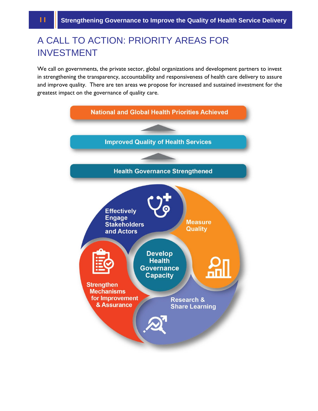### A CALL TO AC<br>INVESTMENT A CALL TO ACTION: PRIORITY AREAS FOR<br>INVESTMENT

้<br>eri<br>g t We call on governments, the private sector, global organizations and development partners to invest in strengthening the transparency, accountability and responsiveness of health care delivery to assure and improve quality. There are ten areas we propose for increased and sustained investment for the greatest impact on the governance of quality care.

![](_page_14_Figure_3.jpeg)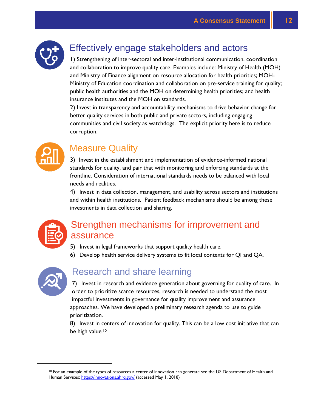![](_page_15_Picture_1.jpeg)

### Effectively engage stakeholders and actors

1) Strengthening of inter-sectoral and inter-institutional communication, coordination and collaboration to improve quality care. Examples include: Ministry of Health (MOH) and Ministry of Finance alignment on resource allocation for health priorities; MOH-Ministry of Education coordination and collaboration on pre-service training for quality; public health authorities and the MOH on determining health priorities; and health insurance institutes and the MOH on standards.

2) Invest in transparency and accountability mechanisms to drive behavior change for better quality services in both public and private sectors, including engaging communities and civil society as watchdogs. The explicit priority here is to reduce corruption.

![](_page_15_Picture_5.jpeg)

### Measure Quality

3) Invest in the establishment and implementation of evidence-informed national standards for quality, and pair that with monitoring and enforcing standards at the frontline. Consideration of international standards needs to be balanced with local needs and realities.

4) Invest in data collection, management, and usability across sectors and institutions and within health institutions. Patient feedback mechanisms should be among these investments in data collection and sharing.

![](_page_15_Picture_9.jpeg)

#### Strengthen mechanisms for improvement and assurance

- 5) Invest in legal frameworks that support quality health care.
- 6) Develop health service delivery systems to fit local contexts for QI and QA.

![](_page_15_Picture_13.jpeg)

l

#### Research and share learning

7) Invest in research and evidence generation about governing for quality of care. In order to prioritize scarce resources, research is needed to understand the most impactful investments in governance for quality improvement and assurance approaches. We have developed a preliminary research agenda to use to guide prioritization.

8) Invest in centers of innovation for quality. This can be a low cost initiative that can be high value.<sup>10</sup>

<sup>&</sup>lt;sup>10</sup> For an example of the types of resources a center of innovation can generate see the US Department of Health and Human Services[: https://innovations.ahrq.gov/](https://innovations.ahrq.gov/) (accessed May 1, 2018)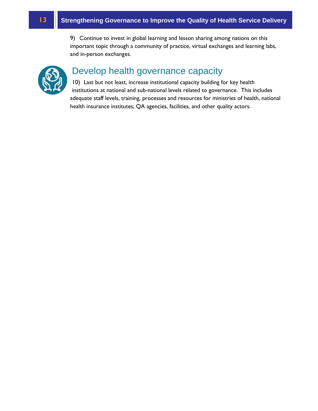productive to invest in global learning and lesson s<br>nportant topic through a community of practice, vi<br>nd in-person exchanges. 9) Continue to invest in global learning and lesson sharing among nations on this important topic through a community of practice, virtual exchanges and learning labs, and in-person exchanges.

![](_page_16_Picture_2.jpeg)

## Develop health governance capacity

10) Last but not least, increase institutional capacity building for key health institutions at national and sub-national levels related to governance. This includes adequate staff levels, training, processes and resources for ministries of health, national health insurance institutes, QA agencies, facilities, and other quality actors.